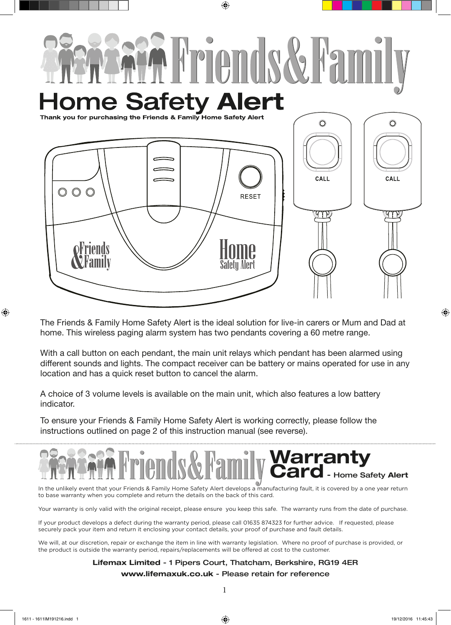

⊕

The Friends & Family Home Safety Alert is the ideal solution for live-in carers or Mum and Dad at home. This wireless paging alarm system has two pendants covering a 60 metre range.

With a call button on each pendant, the main unit relays which pendant has been alarmed using different sounds and lights. The compact receiver can be battery or mains operated for use in any location and has a quick reset button to cancel the alarm.

A choice of 3 volume levels is available on the main unit, which also features a low battery indicator.

To ensure your Friends & Family Home Safety Alert is working correctly, please follow the instructions outlined on page 2 of this instruction manual (see reverse).

# **Warranty** Card - Home Safety Alert  $\ddot{\phantom{a}}$

In the unlikely event that your Friends & Family Home Safety Alert develops a manufacturing fault, it is covered by a one year return to base warranty when you complete and return the details on the back of this card.

Your warranty is only valid with the original receipt, please ensure you keep this safe. The warranty runs from the date of purchase.

If your product develops a defect during the warranty period, please call 01635 874323 for further advice. If requested, please securely pack your item and return it enclosing your contact details, your proof of purchase and fault details.

We will, at our discretion, repair or exchange the item in line with warranty legislation. Where no proof of purchase is provided, or the product is outside the warranty period, repairs/replacements will be offered at cost to the customer.

# Lifemax Limited - 1 Pipers Court, Thatcham, Berkshire, RG19 4ER www.lifemaxuk.co.uk - Please retain for reference

 $\bigoplus$ 

⊕